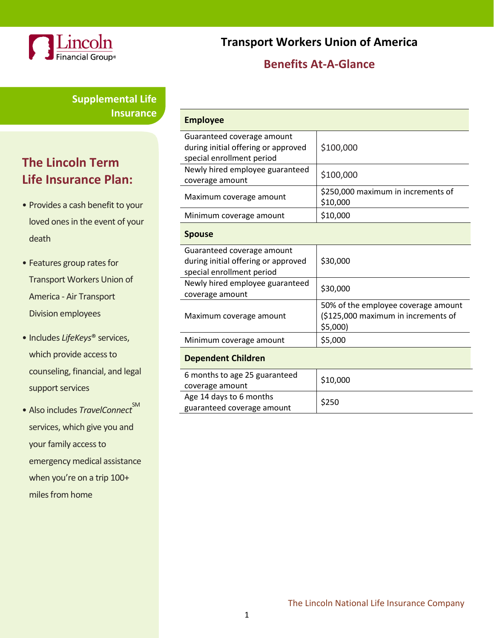

**Transport Workers Union of America** 

### **Benefits At-A-Glance**

**Supplemental Life Insurance**

# **The Lincoln Term Life Insurance Plan:**

- Provides a cash benefit to your loved ones in the event of your death
- Features group rates for Transport Workers Union of America - Air Transport Division employees
- Includes *LifeKeys*® services, which provide access to counseling, financial, and legal support services
- Also includes *TravelConnect*<sup>SM</sup> services, which give you and your family access to emergency medical assistance when you're on a trip 100+ miles from home

| <b>Employee</b>                                                                                |                                                                                        |
|------------------------------------------------------------------------------------------------|----------------------------------------------------------------------------------------|
| Guaranteed coverage amount<br>during initial offering or approved<br>special enrollment period | \$100,000                                                                              |
| Newly hired employee guaranteed<br>coverage amount                                             | \$100,000                                                                              |
| Maximum coverage amount                                                                        | \$250,000 maximum in increments of<br>\$10,000                                         |
| Minimum coverage amount                                                                        | \$10,000                                                                               |
| <b>Spouse</b>                                                                                  |                                                                                        |
| Guaranteed coverage amount<br>during initial offering or approved<br>special enrollment period | \$30,000                                                                               |
| Newly hired employee guaranteed<br>coverage amount                                             | \$30,000                                                                               |
| Maximum coverage amount                                                                        | 50% of the employee coverage amount<br>(\$125,000 maximum in increments of<br>\$5,000) |
| Minimum coverage amount                                                                        | \$5,000                                                                                |
| <b>Dependent Children</b>                                                                      |                                                                                        |
| 6 months to age 25 guaranteed<br>coverage amount                                               | \$10,000                                                                               |
| Age 14 days to 6 months<br>guaranteed coverage amount                                          | \$250                                                                                  |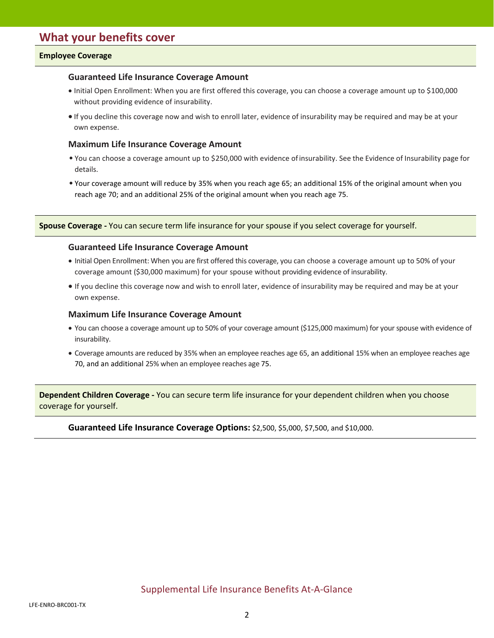### **Employee Coverage**

### **Guaranteed Life Insurance Coverage Amount**

- Initial Open Enrollment: When you are first offered this coverage, you can choose a coverage amount up to \$100,000 without providing evidence of insurability.
- If you decline this coverage now and wish to enroll later, evidence of insurability may be required and may be at your own expense.

### **Maximum Life Insurance Coverage Amount**

- You can choose a coverage amount up to \$250,000 with evidence ofinsurability. See the Evidence of Insurability page for details.
- Your coverage amount will reduce by 35% when you reach age 65; an additional 15% of the original amount when you reach age 70; and an additional 25% of the original amount when you reach age 75.

**Spouse Coverage -** You can secure term life insurance for your spouse if you select coverage for yourself.

#### **Guaranteed Life Insurance Coverage Amount**

- Initial Open Enrollment: When you are first offered this coverage, you can choose a coverage amount up to 50% of your coverage amount (\$30,000 maximum) for your spouse without providing evidence of insurability.
- If you decline this coverage now and wish to enroll later, evidence of insurability may be required and may be at your own expense.

#### **Maximum Life Insurance Coverage Amount**

- You can choose a coverage amount up to 50% of your coverage amount (\$125,000 maximum) for your spouse with evidence of insurability.
- Coverage amounts are reduced by 35% when an employee reaches age 65, an additional 15% when an employee reaches age 70, and an additional 25% when an employee reaches age 75.

**Dependent Children Coverage -** You can secure term life insurance for your dependent children when you choose coverage for yourself.

#### **Guaranteed Life Insurance Coverage Options:** \$2,500, \$5,000, \$7,500, and \$10,000.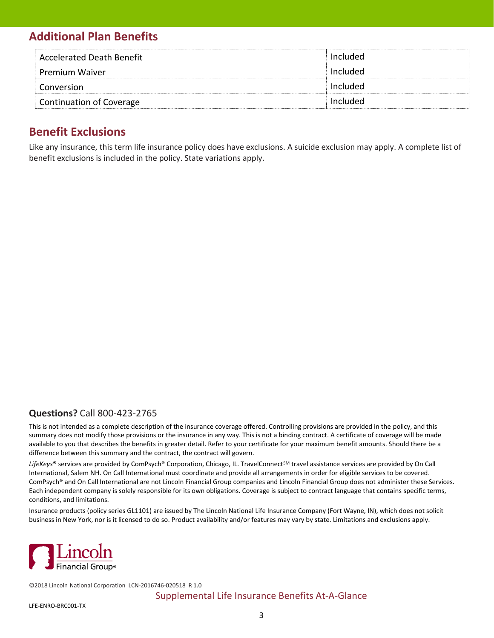## **Additional Plan Benefits**

| Accelerated Death Benefit       | Included        |
|---------------------------------|-----------------|
| <b>Premium Waiver</b>           | Included        |
| Conversion                      | <b>Included</b> |
| <b>Continuation of Coverage</b> | Included        |

### **Benefit Exclusions**

Like any insurance, this term life insurance policy does have exclusions. A suicide exclusion may apply. A complete list of benefit exclusions is included in the policy. State variations apply.

### **Questions?** Call 800-423-2765

This is not intended as a complete description of the insurance coverage offered. Controlling provisions are provided in the policy, and this summary does not modify those provisions or the insurance in any way. This is not a binding contract. A certificate of coverage will be made available to you that describes the benefits in greater detail. Refer to your certificate for your maximum benefit amounts. Should there be a difference between this summary and the contract, the contract will govern.

LifeKeys® services are provided by ComPsych® Corporation, Chicago, IL. TravelConnect<sup>SM</sup> travel assistance services are provided by On Call International, Salem NH. On Call International must coordinate and provide all arrangements in order for eligible services to be covered. ComPsych® and On Call International are not Lincoln Financial Group companies and Lincoln Financial Group does not administer these Services. Each independent company is solely responsible for its own obligations. Coverage is subject to contract language that contains specific terms, conditions, and limitations.

Insurance products (policy series GL1101) are issued by The Lincoln National Life Insurance Company (Fort Wayne, IN), which does not solicit business in New York, nor is it licensed to do so. Product availability and/or features may vary by state. Limitations and exclusions apply.



©2018 Lincoln National Corporation [LCN-2016746-020518](https://secure.reged.com/AdTrax/submissionoverview/2016746) R 1.0

### Supplemental Life Insurance Benefits At-A-Glance

LFE-ENRO-BRC001-TX